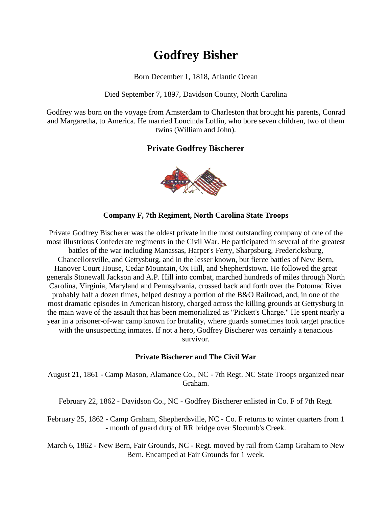# **Godfrey Bisher**

Born December 1, 1818, Atlantic Ocean

Died September 7, 1897, Davidson County, North Carolina

Godfrey was born on the voyage from Amsterdam to Charleston that brought his parents, Conrad and Margaretha, to America. He married Loucinda Loflin, who bore seven children, two of them twins (William and John).

# **Private Godfrey Bischerer**



#### **Company F, 7th Regiment, North Carolina State Troops**

Private Godfrey Bischerer was the oldest private in the most outstanding company of one of the most illustrious Confederate regiments in the Civil War. He participated in several of the greatest battles of the war including Manassas, Harper's Ferry, Sharpsburg, Fredericksburg, Chancellorsville, and Gettysburg, and in the lesser known, but fierce battles of New Bern, Hanover Court House, Cedar Mountain, Ox Hill, and Shepherdstown. He followed the great generals Stonewall Jackson and A.P. Hill into combat, marched hundreds of miles through North Carolina, Virginia, Maryland and Pennsylvania, crossed back and forth over the Potomac River probably half a dozen times, helped destroy a portion of the B&O Railroad, and, in one of the most dramatic episodes in American history, charged across the killing grounds at Gettysburg in the main wave of the assault that has been memorialized as "Pickett's Charge." He spent nearly a year in a prisoner-of-war camp known for brutality, where guards sometimes took target practice with the unsuspecting inmates. If not a hero, Godfrey Bischerer was certainly a tenacious survivor.

#### **Private Bischerer and The Civil War**

August 21, 1861 - Camp Mason, Alamance Co., NC - 7th Regt. NC State Troops organized near Graham.

February 22, 1862 - Davidson Co., NC - Godfrey Bischerer enlisted in Co. F of 7th Regt.

February 25, 1862 - Camp Graham, Shepherdsville, NC - Co. F returns to winter quarters from 1 - month of guard duty of RR bridge over Slocumb's Creek.

March 6, 1862 - New Bern, Fair Grounds, NC - Regt. moved by rail from Camp Graham to New Bern. Encamped at Fair Grounds for 1 week.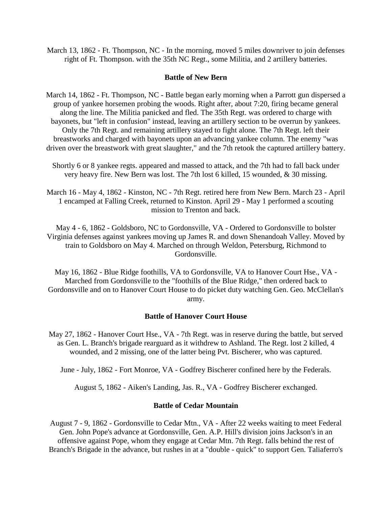March 13, 1862 - Ft. Thompson, NC - In the morning, moved 5 miles downriver to join defenses right of Ft. Thompson. with the 35th NC Regt., some Militia, and 2 artillery batteries.

#### **Battle of New Bern**

March 14, 1862 - Ft. Thompson, NC - Battle began early morning when a Parrott gun dispersed a group of yankee horsemen probing the woods. Right after, about 7:20, firing became general along the line. The Militia panicked and fled. The 35th Regt. was ordered to charge with bayonets, but "left in confusion" instead, leaving an artillery section to be overrun by yankees. Only the 7th Regt. and remaining artillery stayed to fight alone. The 7th Regt. left their breastworks and charged with bayonets upon an advancing yankee column. The enemy "was driven over the breastwork with great slaughter," and the 7th retook the captured artillery battery.

Shortly 6 or 8 yankee regts. appeared and massed to attack, and the 7th had to fall back under very heavy fire. New Bern was lost. The 7th lost 6 killed, 15 wounded, & 30 missing.

March 16 - May 4, 1862 - Kinston, NC - 7th Regt. retired here from New Bern. March 23 - April 1 encamped at Falling Creek, returned to Kinston. April 29 - May 1 performed a scouting mission to Trenton and back.

May 4 - 6, 1862 - Goldsboro, NC to Gordonsville, VA - Ordered to Gordonsville to bolster Virginia defenses against yankees moving up James R. and down Shenandoah Valley. Moved by train to Goldsboro on May 4. Marched on through Weldon, Petersburg, Richmond to Gordonsville.

May 16, 1862 - Blue Ridge foothills, VA to Gordonsville, VA to Hanover Court Hse., VA - Marched from Gordonsville to the "foothills of the Blue Ridge," then ordered back to Gordonsville and on to Hanover Court House to do picket duty watching Gen. Geo. McClellan's army.

#### **Battle of Hanover Court House**

May 27, 1862 - Hanover Court Hse., VA - 7th Regt. was in reserve during the battle, but served as Gen. L. Branch's brigade rearguard as it withdrew to Ashland. The Regt. lost 2 killed, 4 wounded, and 2 missing, one of the latter being Pvt. Bischerer, who was captured.

June - July, 1862 - Fort Monroe, VA - Godfrey Bischerer confined here by the Federals.

August 5, 1862 - Aiken's Landing, Jas. R., VA - Godfrey Bischerer exchanged.

#### **Battle of Cedar Mountain**

August 7 - 9, 1862 - Gordonsville to Cedar Mtn., VA - After 22 weeks waiting to meet Federal Gen. John Pope's advance at Gordonsville, Gen. A.P. Hill's division joins Jackson's in an offensive against Pope, whom they engage at Cedar Mtn. 7th Regt. falls behind the rest of Branch's Brigade in the advance, but rushes in at a "double - quick" to support Gen. Taliaferro's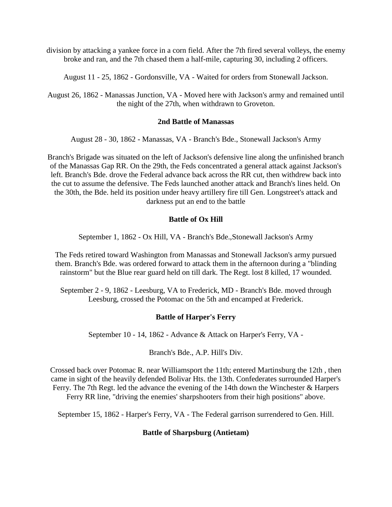division by attacking a yankee force in a corn field. After the 7th fired several volleys, the enemy broke and ran, and the 7th chased them a half-mile, capturing 30, including 2 officers.

August 11 - 25, 1862 - Gordonsville, VA - Waited for orders from Stonewall Jackson.

August 26, 1862 - Manassas Junction, VA - Moved here with Jackson's army and remained until the night of the 27th, when withdrawn to Groveton.

#### **2nd Battle of Manassas**

August 28 - 30, 1862 - Manassas, VA - Branch's Bde., Stonewall Jackson's Army

Branch's Brigade was situated on the left of Jackson's defensive line along the unfinished branch of the Manassas Gap RR. On the 29th, the Feds concentrated a general attack against Jackson's left. Branch's Bde. drove the Federal advance back across the RR cut, then withdrew back into the cut to assume the defensive. The Feds launched another attack and Branch's lines held. On the 30th, the Bde. held its position under heavy artillery fire till Gen. Longstreet's attack and darkness put an end to the battle

# **Battle of Ox Hill**

September 1, 1862 - Ox Hill, VA - Branch's Bde.,Stonewall Jackson's Army

The Feds retired toward Washington from Manassas and Stonewall Jackson's army pursued them. Branch's Bde. was ordered forward to attack them in the afternoon during a "blinding rainstorm" but the Blue rear guard held on till dark. The Regt. lost 8 killed, 17 wounded.

September 2 - 9, 1862 - Leesburg, VA to Frederick, MD - Branch's Bde. moved through Leesburg, crossed the Potomac on the 5th and encamped at Frederick.

# **Battle of Harper's Ferry**

September 10 - 14, 1862 - Advance & Attack on Harper's Ferry, VA -

Branch's Bde., A.P. Hill's Div.

Crossed back over Potomac R. near Williamsport the 11th; entered Martinsburg the 12th , then came in sight of the heavily defended Bolivar Hts. the 13th. Confederates surrounded Harper's Ferry. The 7th Regt. led the advance the evening of the 14th down the Winchester & Harpers Ferry RR line, "driving the enemies' sharpshooters from their high positions" above.

September 15, 1862 - Harper's Ferry, VA - The Federal garrison surrendered to Gen. Hill.

# **Battle of Sharpsburg (Antietam)**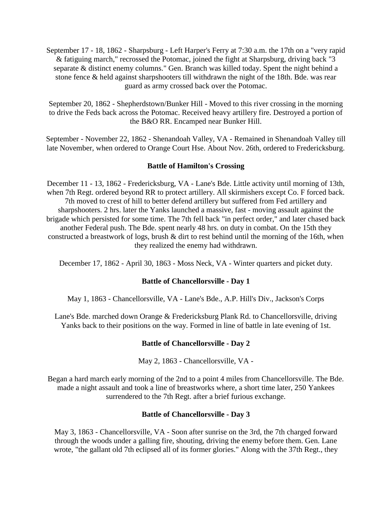September 17 - 18, 1862 - Sharpsburg - Left Harper's Ferry at 7:30 a.m. the 17th on a "very rapid & fatiguing march," recrossed the Potomac, joined the fight at Sharpsburg, driving back "3 separate & distinct enemy columns." Gen. Branch was killed today. Spent the night behind a stone fence & held against sharpshooters till withdrawn the night of the 18th. Bde. was rear guard as army crossed back over the Potomac.

September 20, 1862 - Shepherdstown/Bunker Hill - Moved to this river crossing in the morning to drive the Feds back across the Potomac. Received heavy artillery fire. Destroyed a portion of the B&O RR. Encamped near Bunker Hill.

September - November 22, 1862 - Shenandoah Valley, VA - Remained in Shenandoah Valley till late November, when ordered to Orange Court Hse. About Nov. 26th, ordered to Fredericksburg.

### **Battle of Hamilton's Crossing**

December 11 - 13, 1862 - Fredericksburg, VA - Lane's Bde. Little activity until morning of 13th, when 7th Regt. ordered beyond RR to protect artillery. All skirmishers except Co. F forced back. 7th moved to crest of hill to better defend artillery but suffered from Fed artillery and sharpshooters. 2 hrs. later the Yanks launched a massive, fast - moving assault against the brigade which persisted for some time. The 7th fell back "in perfect order," and later chased back another Federal push. The Bde. spent nearly 48 hrs. on duty in combat. On the 15th they constructed a breastwork of logs, brush & dirt to rest behind until the morning of the 16th, when they realized the enemy had withdrawn.

December 17, 1862 - April 30, 1863 - Moss Neck, VA - Winter quarters and picket duty.

# **Battle of Chancellorsville - Day 1**

May 1, 1863 - Chancellorsville, VA - Lane's Bde., A.P. Hill's Div., Jackson's Corps

Lane's Bde. marched down Orange & Fredericksburg Plank Rd. to Chancellorsville, driving Yanks back to their positions on the way. Formed in line of battle in late evening of 1st.

# **Battle of Chancellorsville - Day 2**

May 2, 1863 - Chancellorsville, VA -

Began a hard march early morning of the 2nd to a point 4 miles from Chancellorsville. The Bde. made a night assault and took a line of breastworks where, a short time later, 250 Yankees surrendered to the 7th Regt. after a brief furious exchange.

# **Battle of Chancellorsville - Day 3**

May 3, 1863 - Chancellorsville, VA - Soon after sunrise on the 3rd, the 7th charged forward through the woods under a galling fire, shouting, driving the enemy before them. Gen. Lane wrote, "the gallant old 7th eclipsed all of its former glories." Along with the 37th Regt., they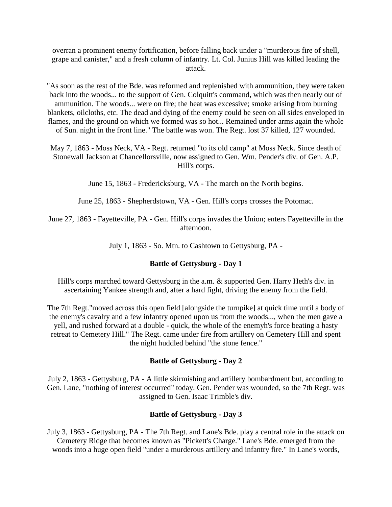overran a prominent enemy fortification, before falling back under a "murderous fire of shell, grape and canister," and a fresh column of infantry. Lt. Col. Junius Hill was killed leading the attack.

"As soon as the rest of the Bde. was reformed and replenished with ammunition, they were taken back into the woods... to the support of Gen. Colquitt's command, which was then nearly out of ammunition. The woods... were on fire; the heat was excessive; smoke arising from burning blankets, oilcloths, etc. The dead and dying of the enemy could be seen on all sides enveloped in flames, and the ground on which we formed was so hot... Remained under arms again the whole of Sun. night in the front line." The battle was won. The Regt. lost 37 killed, 127 wounded.

May 7, 1863 - Moss Neck, VA - Regt. returned "to its old camp" at Moss Neck. Since death of Stonewall Jackson at Chancellorsville, now assigned to Gen. Wm. Pender's div. of Gen. A.P. Hill's corps.

June 15, 1863 - Fredericksburg, VA - The march on the North begins.

June 25, 1863 - Shepherdstown, VA - Gen. Hill's corps crosses the Potomac.

June 27, 1863 - Fayetteville, PA - Gen. Hill's corps invades the Union; enters Fayetteville in the afternoon.

July 1, 1863 - So. Mtn. to Cashtown to Gettysburg, PA -

#### **Battle of Gettysburg - Day 1**

Hill's corps marched toward Gettysburg in the a.m. & supported Gen. Harry Heth's div. in ascertaining Yankee strength and, after a hard fight, driving the enemy from the field.

The 7th Regt."moved across this open field [alongside the turnpike] at quick time until a body of the enemy's cavalry and a few infantry opened upon us from the woods..., when the men gave a yell, and rushed forward at a double - quick, the whole of the enemyh's force beating a hasty retreat to Cemetery Hill." The Regt. came under fire from artillery on Cemetery Hill and spent the night huddled behind "the stone fence."

#### **Battle of Gettysburg - Day 2**

July 2, 1863 - Gettysburg, PA - A little skirmishing and artillery bombardment but, according to Gen. Lane, "nothing of interest occurred" today. Gen. Pender was wounded, so the 7th Regt. was assigned to Gen. Isaac Trimble's div.

#### **Battle of Gettysburg - Day 3**

July 3, 1863 - Gettysburg, PA - The 7th Regt. and Lane's Bde. play a central role in the attack on Cemetery Ridge that becomes known as "Pickett's Charge." Lane's Bde. emerged from the woods into a huge open field "under a murderous artillery and infantry fire." In Lane's words,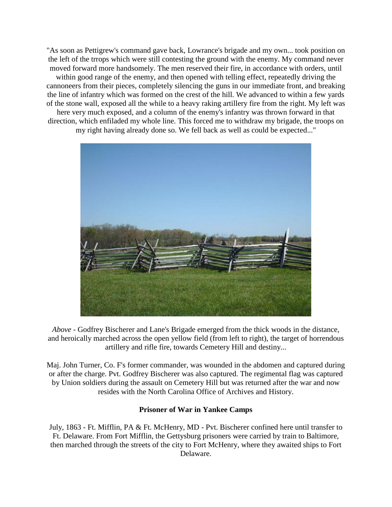"As soon as Pettigrew's command gave back, Lowrance's brigade and my own... took position on the left of the trrops which were still contesting the ground with the enemy. My command never moved forward more handsomely. The men reserved their fire, in accordance with orders, until within good range of the enemy, and then opened with telling effect, repeatedly driving the cannoneers from their pieces, completely silencing the guns in our immediate front, and breaking the line of infantry which was formed on the crest of the hill. We advanced to within a few yards of the stone wall, exposed all the while to a heavy raking artillery fire from the right. My left was here very much exposed, and a column of the enemy's infantry was thrown forward in that direction, which enfiladed my whole line. This forced me to withdraw my brigade, the troops on my right having already done so. We fell back as well as could be expected..."



*Above* - Godfrey Bischerer and Lane's Brigade emerged from the thick woods in the distance, and heroically marched across the open yellow field (from left to right), the target of horrendous artillery and rifle fire, towards Cemetery Hill and destiny...

Maj. John Turner, Co. F's former commander, was wounded in the abdomen and captured during or after the charge. Pvt. Godfrey Bischerer was also captured. The regimental flag was captured by Union soldiers during the assault on Cemetery Hill but was returned after the war and now resides with the North Carolina Office of Archives and History.

# **Prisoner of War in Yankee Camps**

July, 1863 - Ft. Mifflin, PA & Ft. McHenry, MD - Pvt. Bischerer confined here until transfer to Ft. Delaware. From Fort Mifflin, the Gettysburg prisoners were carried by train to Baltimore, then marched through the streets of the city to Fort McHenry, where they awaited ships to Fort Delaware.